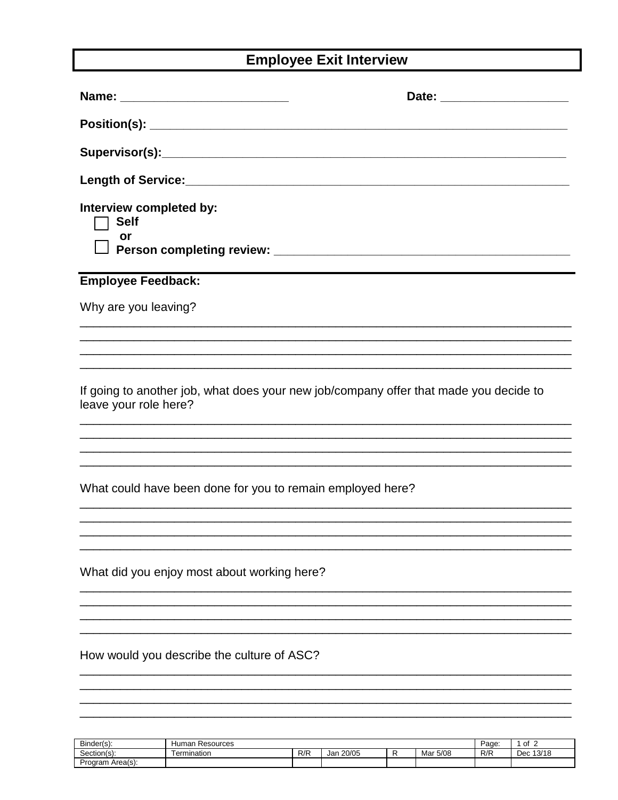## **Employee Exit Interview**

|                                                                                                                | Date: _________________________ |
|----------------------------------------------------------------------------------------------------------------|---------------------------------|
|                                                                                                                |                                 |
|                                                                                                                |                                 |
|                                                                                                                |                                 |
| Interview completed by:<br><b>Self</b><br>or                                                                   |                                 |
| <b>Employee Feedback:</b>                                                                                      |                                 |
| Why are you leaving?                                                                                           |                                 |
|                                                                                                                |                                 |
| If going to another job, what does your new job/company offer that made you decide to<br>leave your role here? |                                 |
| What could have been done for you to remain employed here?                                                     |                                 |
| What did you enjoy most about working here?                                                                    |                                 |
| How would you describe the culture of ASC?                                                                     |                                 |
|                                                                                                                |                                 |

| Binder(s):           | Humar<br>Resources |     |              |  |             | Page. | оt<br>-      |
|----------------------|--------------------|-----|--------------|--|-------------|-------|--------------|
| ~<br>Section(s):     | Fermination        | R/R | 20/05<br>Jar |  | 5/08<br>Mar | R/R   | 13/18<br>Dec |
| ⊦Area(s):<br>Program |                    |     |              |  |             |       |              |